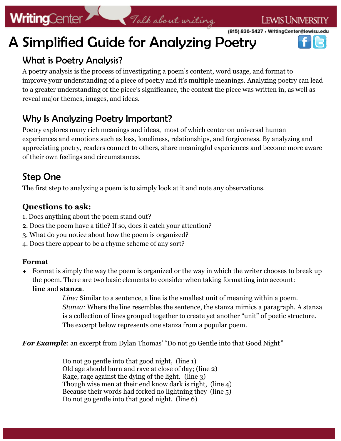# **WritingCenter**

(815) 836-5427 . WritingCenter@lewisu.edu

# A Simplified Guide for Analyzing Poetry

## What is Poetry Analysis?

A poetry analysis is the process of investigating a poem's content, word usage, and format to improve your understanding of a piece of poetry and it's multiple meanings. Analyzing poetry can lead to a greater understanding of the piece's significance, the context the piece was written in, as well as reveal major themes, images, and ideas.

Falk about writing

## Why Is Analyzing Poetry Important?

Poetry explores many rich meanings and ideas, most of which center on universal human experiences and emotions such as loss, loneliness, relationships, and forgiveness. By analyzing and appreciating poetry, readers connect to others, share meaningful experiences and become more aware of their own feelings and circumstances.

## Step One

The first step to analyzing a poem is to simply look at it and note any observations.

#### **Questions to ask:**

- 1. Does anything about the poem stand out?
- 2. Does the poem have a title? If so, does it catch your attention?
- 3. What do you notice about how the poem is organized?
- 4. Does there appear to be a rhyme scheme of any sort?

#### **Format**

Format is simply the way the poem is organized or the way in which the writer chooses to break up the poem. There are two basic elements to consider when taking formatting into account: **line** and **stanza**.

> *Line:* Similar to a sentence, a line is the smallest unit of meaning within a poem. *Stanza:* Where the line resembles the sentence, the stanza mimics a paragraph. A stanza is a collection of lines grouped together to create yet another "unit" of poetic structure. The excerpt below represents one stanza from a popular poem.

*For Example*: an excerpt from Dylan Thomas' "Do not go Gentle into that Good Night"

Do not go gentle into that good night, (line 1) Old age should burn and rave at close of day; (line 2) Rage, rage against the dying of the light. (line 3) Though wise men at their end know dark is right, (line 4) Because their words had forked no lightning they (line 5) Do not go gentle into that good night. (line 6)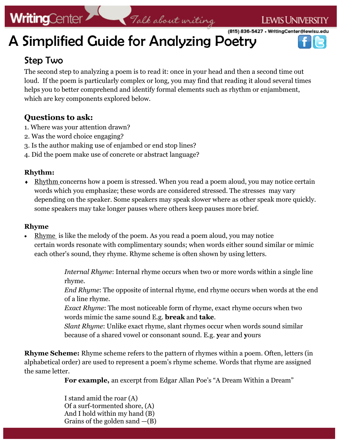# **WritingCenter**

# WritingCenter<br>A Simplified Guide for Analyzing Poetry (815) 836-5427 · WritingCenter@lewisu.edu

## Step Two

The second step to analyzing a poem is to read it: once in your head and then a second time out loud. If the poem is particularly complex or long, you may find that reading it aloud several times helps you to better comprehend and identify formal elements such as rhythm or enjambment, which are key components explored below.

#### **Questions to ask:**

- 1. Where was your attention drawn?
- 2. Was the word choice engaging?
- 3. Is the author making use of enjambed or end stop lines?
- 4. Did the poem make use of concrete or abstract language?

#### **Rhythm:**

 $\triangleleft$  Rhythm concerns how a poem is stressed. When you read a poem aloud, you may notice certain words which you emphasize; these words are considered stressed. The stresses may vary depending on the speaker. Some speakers may speak slower where as other speak more quickly. some speakers may take longer pauses where others keep pauses more brief.

#### **Rhyme**

 Rhyme is like the melody of the poem. As you read a poem aloud, you may notice certain words resonate with complimentary sounds; when words either sound similar or mimic each other's sound, they rhyme. Rhyme scheme is often shown by using letters.

> *Internal Rhyme*: Internal rhyme occurs when two or more words within a single line rhyme.

*End Rhyme*: The opposite of internal rhyme, end rhyme occurs when words at the end of a line rhyme.

*Exact Rhyme*: The most noticeable form of rhyme, exact rhyme occurs when two words mimic the same sound E.g. **break** and **take**.

*Slant Rhyme*: Unlike exact rhyme, slant rhymes occur when words sound similar because of a shared vowel or consonant sound. E.g. **y**ear and **y**ours

**Rhyme Scheme:** Rhyme scheme refers to the pattern of rhymes within a poem. Often, letters (in alphabetical order) are used to represent a poem's rhyme scheme. Words that rhyme are assigned the same letter.

**For example,** an excerpt from Edgar Allan Poe's "A Dream Within a Dream"

I stand amid the roar (A) Of a surf-tormented shore, (A) And I hold within my hand (B) Grains of the golden sand  $-(B)$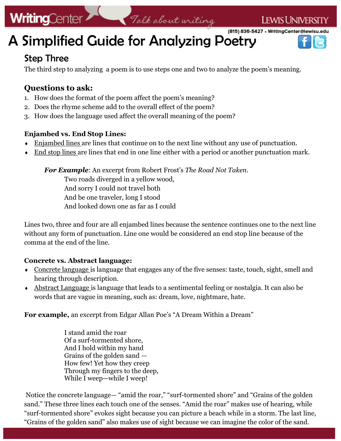# **WritingCenter**

(815) 836-5427 • WritingCenter@lewisu.edu

# WritingCenter 7 Talk about uniting



## Step Three

The third step to analyzing a poem is to use steps one and two to analyze the poem's meaning.

#### **Questions to ask:**

- 1. How does the format of the poem affect the poem's meaning?
- 2. Does the rhyme scheme add to the overall effect of the poem?
- 3. How does the language used affect the overall meaning of the poem?

#### **Enjambed vs. End Stop Lines:**

- **Enjambed lines are lines that continue on to the next line without any use of punctuation.**
- $\bullet$  End stop lines are lines that end in one line either with a period or another punctuation mark.

*For Example*: An excerpt from Robert Frost's *The Road Not Taken.* 

Two roads diverged in a yellow wood, And sorry I could not travel both And be one traveler, long I stood And looked down one as far as I could

Lines two, three and four are all enjambed lines because the sentence continues one to the next line without any form of punctuation. Line one would be considered an end stop line because of the comma at the end of the line.

#### **Concrete vs. Abstract language:**

- Concrete language is language that engages any of the five senses: taste, touch, sight, smell and hearing through description.
- Abstract Language is language that leads to a sentimental feeling or nostalgia. It can also be words that are vague in meaning, such as: dream, love, nightmare, hate.

**For example,** an excerpt from Edgar Allan Poe's "A Dream Within a Dream"

I stand amid the roar Of a surf-tormented shore, And I hold within my hand Grains of the golden sand — How few! Yet how they creep Through my fingers to the deep, While I weep—while I weep!

Notice the concrete language— "amid the roar," "surf-tormented shore" and "Grains of the golden sand." These three lines each touch one of the senses. "Amid the roar" makes use of hearing, while "surf-tormented shore" evokes sight because you can picture a beach while in a storm. The last line, "Grains of the golden sand" also makes use of sight because we can imagine the color of the sand.